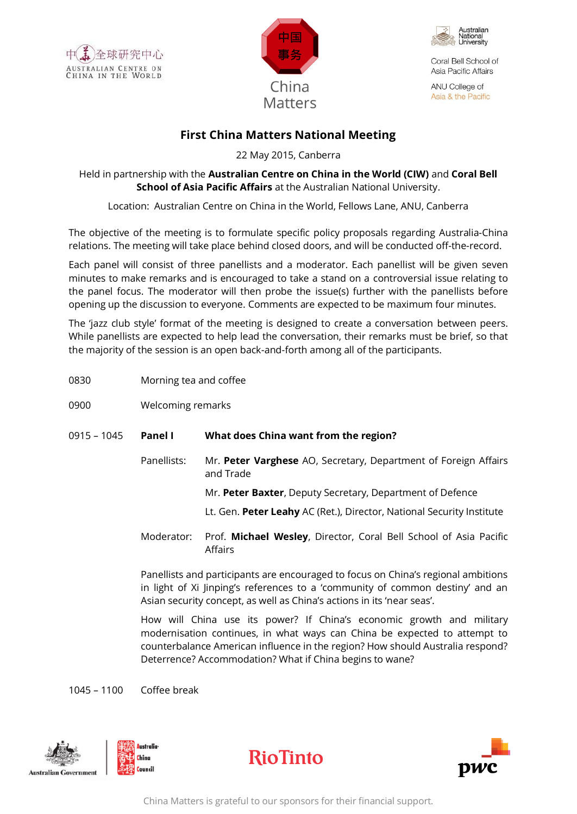





Coral Bell School of Asia Pacific Affairs

ANU College of Asia & the Pacific

## **First China Matters National Meeting**

22 May 2015, Canberra

Held in partnership with the **Australian Centre on China in the World (CIW)** and **Coral Bell School of Asia Pacific Affairs** at the Australian National University.

Location: Australian Centre on China in the World, Fellows Lane, ANU, Canberra

The objective of the meeting is to formulate specific policy proposals regarding Australia-China relations. The meeting will take place behind closed doors, and will be conducted off-the-record.

Each panel will consist of three panellists and a moderator. Each panellist will be given seven minutes to make remarks and is encouraged to take a stand on a controversial issue relating to the panel focus. The moderator will then probe the issue(s) further with the panellists before opening up the discussion to everyone. Comments are expected to be maximum four minutes.

The 'jazz club style' format of the meeting is designed to create a conversation between peers. While panellists are expected to help lead the conversation, their remarks must be brief, so that the majority of the session is an open back-and-forth among all of the participants.

- 0830 Morning tea and coffee
- 0900 Welcoming remarks
- 0915 1045 **Panel I What does China want from the region?**
	- Panellists: Mr. **Peter Varghese** AO, Secretary, Department of Foreign Affairs and Trade Mr. **Peter Baxter**, Deputy Secretary, Department of Defence
		- Lt. Gen. **Peter Leahy** AC (Ret.), Director, National Security Institute
	- Moderator: Prof. **Michael Wesley**, Director, Coral Bell School of Asia Pacific Affairs

Panellists and participants are encouraged to focus on China's regional ambitions in light of Xi Jinping's references to a 'community of common destiny' and an Asian security concept, as well as China's actions in its 'near seas'.

How will China use its power? If China's economic growth and military modernisation continues, in what ways can China be expected to attempt to counterbalance American influence in the region? How should Australia respond? Deterrence? Accommodation? What if China begins to wane?

1045 – 1100 Coffee break